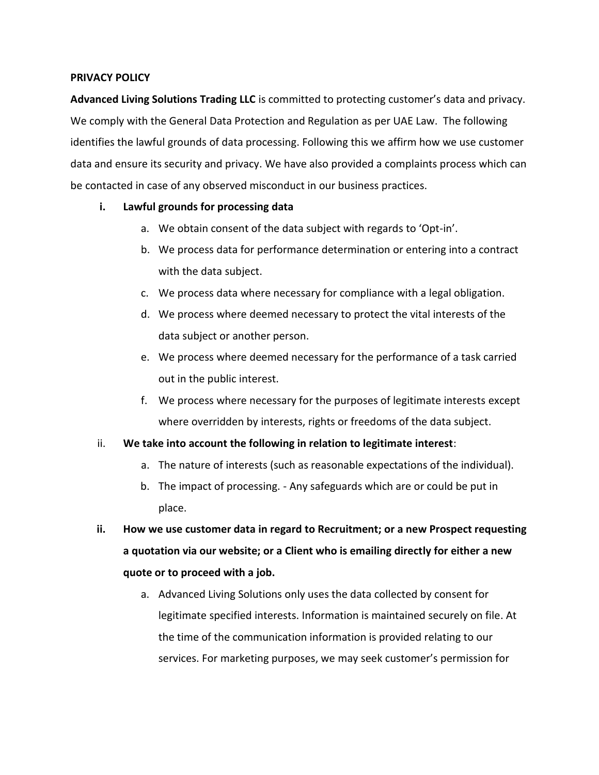## **PRIVACY POLICY**

**Advanced Living Solutions Trading LLC** is committed to protecting customer's data and privacy. We comply with the General Data Protection and Regulation as per UAE Law. The following identifies the lawful grounds of data processing. Following this we affirm how we use customer data and ensure its security and privacy. We have also provided a complaints process which can be contacted in case of any observed misconduct in our business practices.

# **i. Lawful grounds for processing data**

- a. We obtain consent of the data subject with regards to 'Opt-in'.
- b. We process data for performance determination or entering into a contract with the data subject.
- c. We process data where necessary for compliance with a legal obligation.
- d. We process where deemed necessary to protect the vital interests of the data subject or another person.
- e. We process where deemed necessary for the performance of a task carried out in the public interest.
- f. We process where necessary for the purposes of legitimate interests except where overridden by interests, rights or freedoms of the data subject.

# ii. **We take into account the following in relation to legitimate interest**:

- a. The nature of interests (such as reasonable expectations of the individual).
- b. The impact of processing. Any safeguards which are or could be put in place.
- **ii. How we use customer data in regard to Recruitment; or a new Prospect requesting a quotation via our website; or a Client who is emailing directly for either a new quote or to proceed with a job.**
	- a. Advanced Living Solutions only uses the data collected by consent for legitimate specified interests. Information is maintained securely on file. At the time of the communication information is provided relating to our services. For marketing purposes, we may seek customer's permission for